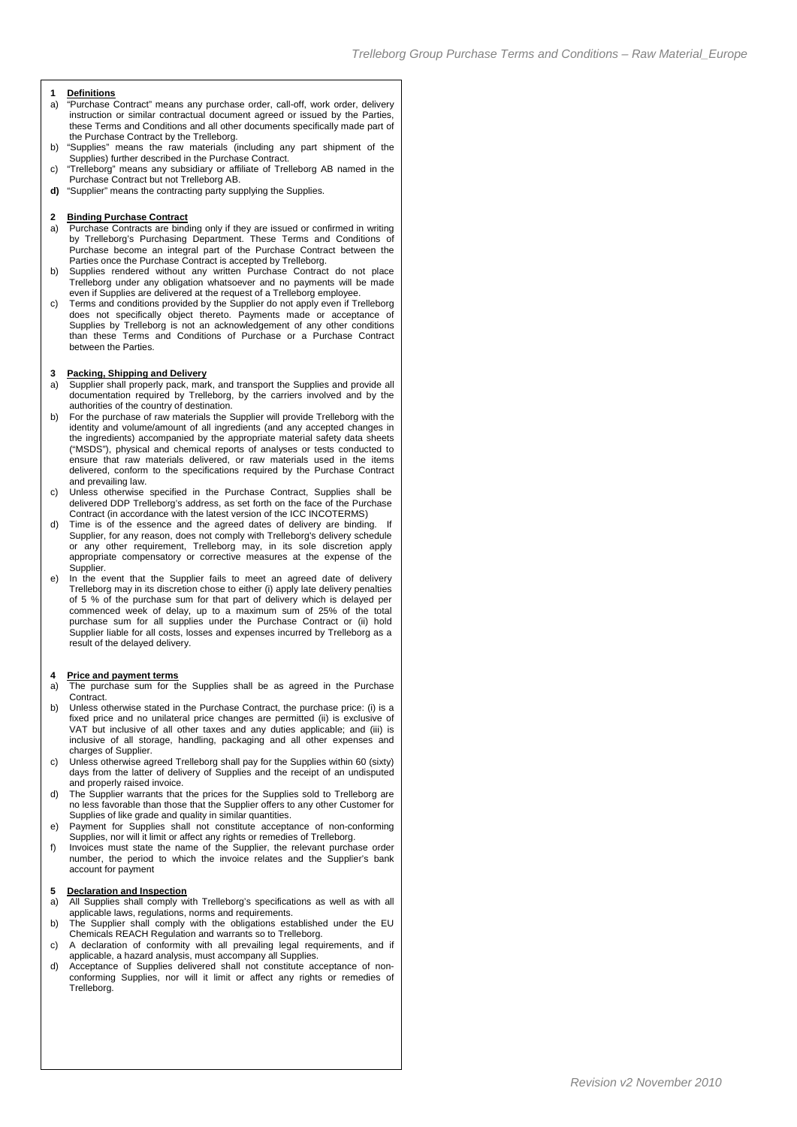# **1 Definitions**

- "Purchase Contract" means any purchase order, call-off, work order, delivery instruction or similar contractual document agreed or issued by the Parties, these Terms and Conditions and all other documents specifically made part of the Purchase Contract by the Trelleborg.
- b) "Supplies" means the raw materials (including any part shipment of the Supplies) further described in the Purchase Contract.
- c) "Trelleborg" means any subsidiary or affiliate of Trelleborg AB named in the Purchase Contract but not Trelleborg AB.
- **d)** "Supplier" means the contracting party supplying the Supplies.

#### **2 Binding Purchase Contract**

- a) Purchase Contracts are binding only if they are issued or confirmed in writing by Trelleborg's Purchasing Department. These Terms and Conditions of Purchase become an integral part of the Purchase Contract between the Parties once the Purchase Contract is accepted by Trelleborg.
- b) Supplies rendered without any written Purchase Contract do not place Trelleborg under any obligation whatsoever and no payments will be made even if Supplies are delivered at the request of a Trelleborg employee.
- c) Terms and conditions provided by the Supplier do not apply even if Trelleborg does not specifically object thereto. Payments made or acceptance of Supplies by Trelleborg is not an acknowledgement of any other conditions than these Terms and Conditions of Purchase or a Purchase Contract between the Parties.

#### **3 Packing, Shipping and Delivery**

- a) Supplier shall properly pack, mark, and transport the Supplies and provide all documentation required by Trelleborg, by the carriers involved and by the authorities of the country of destination.
- b) For the purchase of raw materials the Supplier will provide Trelleborg with the identity and volume/amount of all ingredients (and any accepted changes in the ingredients) accompanied by the appropriate material safety data sheets ("MSDS"), physical and chemical reports of analyses or tests conducted to ensure that raw materials delivered, or raw materials used in the items delivered, conform to the specifications required by the Purchase Contract and prevailing law.
- c) Unless otherwise specified in the Purchase Contract, Supplies shall be delivered DDP Trelleborg's address, as set forth on the face of the Purchase Contract (in accordance with the latest version of the ICC INCOTERMS)
- d) Time is of the essence and the agreed dates of delivery are binding. Supplier, for any reason, does not comply with Trelleborg's delivery schedule or any other requirement, Trelleborg may, in its sole discretion apply appropriate compensatory or corrective measures at the expense of the Supplier.
- e) In the event that the Supplier fails to meet an agreed date of delivery Trelleborg may in its discretion chose to either (i) apply late delivery penalties of 5 % of the purchase sum for that part of delivery which is delayed per commenced week of delay, up to a maximum sum of 25% of the total purchase sum for all supplies under the Purchase Contract or (ii) hold Supplier liable for all costs, losses and expenses incurred by Trelleborg as a result of the delayed delivery.

#### **4 Price and payment terms**

- a) The purchase sum for the Supplies shall be as agreed in the Purchase **Contract**
- b) Unless otherwise stated in the Purchase Contract, the purchase price: (i) is a fixed price and no unilateral price changes are permitted (ii) is exclusive of VAT but inclusive of all other taxes and any duties applicable; and (iii) is inclusive of all storage, handling, packaging and all other expenses and charges of Supplier.
- Unless otherwise agreed Trelleborg shall pay for the Supplies within 60 (sixty) days from the latter of delivery of Supplies and the receipt of an undisputed and properly raised invoice.
- d) The Supplier warrants that the prices for the Supplies sold to Trelleborg are no less favorable than those that the Supplier offers to any other Customer for Supplies of like grade and quality in similar quantities.
- e) Payment for Supplies shall not constitute acceptance of non-conforming Supplies, nor will it limit or affect any rights or remedies of Trelleborg.
- f) Invoices must state the name of the Supplier, the relevant purchase order number, the period to which the invoice relates and the Supplier's bank account for payment

#### **5 Declaration and Inspection**

- a) All Supplies shall comply with Trelleborg's specifications as well as with all applicable laws, regulations, norms and requirements.
- b) The Supplier shall comply with the obligations established under the EU Chemicals REACH Regulation and warrants so to Trelleborg.
- c) A declaration of conformity with all prevailing legal requirements, and if applicable, a hazard analysis, must accompany all Supplies.
- d) Acceptance of Supplies delivered shall not constitute acceptance of nonconforming Supplies, nor will it limit or affect any rights or remedies of Trelleborg.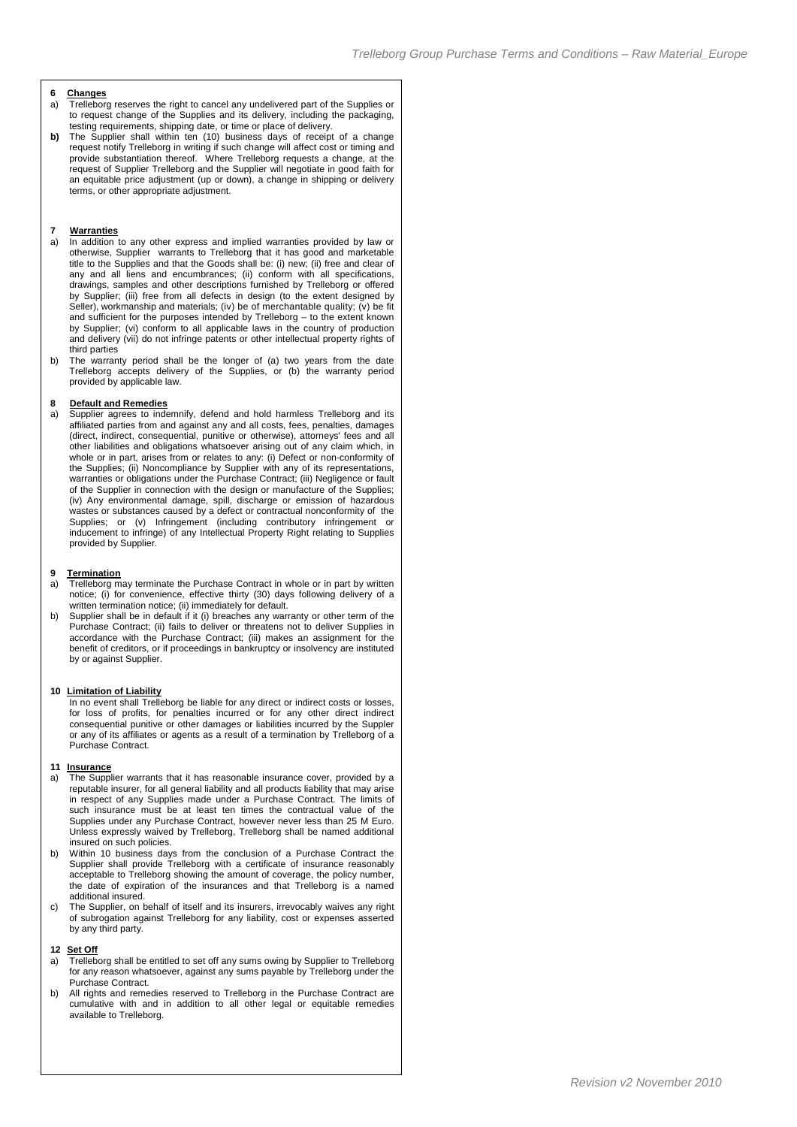## **6 Changes**

- Trelleborg reserves the right to cancel any undelivered part of the Supplies or to request change of the Supplies and its delivery, including the packaging, testing requirements, shipping date, or time or place of delivery.
- **b)** The Supplier shall within ten (10) business days of receipt of a change request notify Trelleborg in writing if such change will affect cost or timing and provide substantiation thereof. Where Trelleborg requests a change, at the request of Supplier Trelleborg and the Supplier will negotiate in good faith for an equitable price adjustment (up or down), a change in shipping or delivery terms, or other appropriate adjustment.

#### **7 Warranties**

- a) In addition to any other express and implied warranties provided by law or otherwise, Supplier warrants to Trelleborg that it has good and marketable title to the Supplies and that the Goods shall be: (i) new; (ii) free and clear of any and all liens and encumbrances; (ii) conform with all specifications, drawings, samples and other descriptions furnished by Trelleborg or offered by Supplier; (iii) free from all defects in design (to the extent designed by Seller), workmanship and materials; (iv) be of merchantable quality; (v) be fit and sufficient for the purposes intended by Trelleborg – to the extent known by Supplier; (vi) conform to all applicable laws in the country of production and delivery (vii) do not infringe patents or other intellectual property rights of third parties
- b) The warranty period shall be the longer of (a) two years from the date Trelleborg accepts delivery of the Supplies, or (b) the warranty period provided by applicable law.

### **8 Default and Remedies**

a) Supplier agrees to indemnify, defend and hold harmless Trelleborg and its affiliated parties from and against any and all costs, fees, penalties, damages (direct, indirect, consequential, punitive or otherwise), attorneys' fees and all other liabilities and obligations whatsoever arising out of any claim which, in whole or in part, arises from or relates to any: (i) Defect or non-conformity of the Supplies; (ii) Noncompliance by Supplier with any of its representations, warranties or obligations under the Purchase Contract; (iii) Negligence or fault of the Supplier in connection with the design or manufacture of the Supplies; (iv) Any environmental damage, spill, discharge or emission of hazardous wastes or substances caused by a defect or contractual nonconformity of the Supplies; or (v) Infringement (including contributory infringement or inducement to infringe) of any Intellectual Property Right relating to Supplies provided by Supplier.

#### **9 Termination**

- a) Trelleborg may terminate the Purchase Contract in whole or in part by written notice; (i) for convenience, effective thirty (30) days following delivery of a written termination notice; (ii) immediately for default.
- b) Supplier shall be in default if it (i) breaches any warranty or other term of the Purchase Contract; (ii) fails to deliver or threatens not to deliver Supplies in accordance with the Purchase Contract; (iii) makes an assignment for the benefit of creditors, or if proceedings in bankruptcy or insolvency are instituted by or against Supplier.

#### **10 Limitation of Liability**

In no event shall Trelleborg be liable for any direct or indirect costs or losses, for loss of profits, for penalties incurred or for any other direct indirect consequential punitive or other damages or liabilities incurred by the Suppler or any of its affiliates or agents as a result of a termination by Trelleborg of a Purchase Contract.

#### **11 Insurance**

- a) The Supplier warrants that it has reasonable insurance cover, provided by a reputable insurer, for all general liability and all products liability that may arise in respect of any Supplies made under a Purchase Contract. The limits of such insurance must be at least ten times the contractual value of the Supplies under any Purchase Contract, however never less than 25 M Euro. Unless expressly waived by Trelleborg, Trelleborg shall be named additional insured on such policies.
- b) Within 10 business days from the conclusion of a Purchase Contract the Supplier shall provide Trelleborg with a certificate of insurance reasonably acceptable to Trelleborg showing the amount of coverage, the policy number, the date of expiration of the insurances and that Trelleborg is a named additional insured.
- c) The Supplier, on behalf of itself and its insurers, irrevocably waives any right of subrogation against Trelleborg for any liability, cost or expenses asserted by any third party.

#### **12 Set Off**

- a) Trelleborg shall be entitled to set off any sums owing by Supplier to Trelleborg for any reason whatsoever, against any sums payable by Trelleborg under the Purchase Contract.
- b) All rights and remedies reserved to Trelleborg in the Purchase Contract are cumulative with and in addition to all other legal or equitable remedies available to Trelleborg.